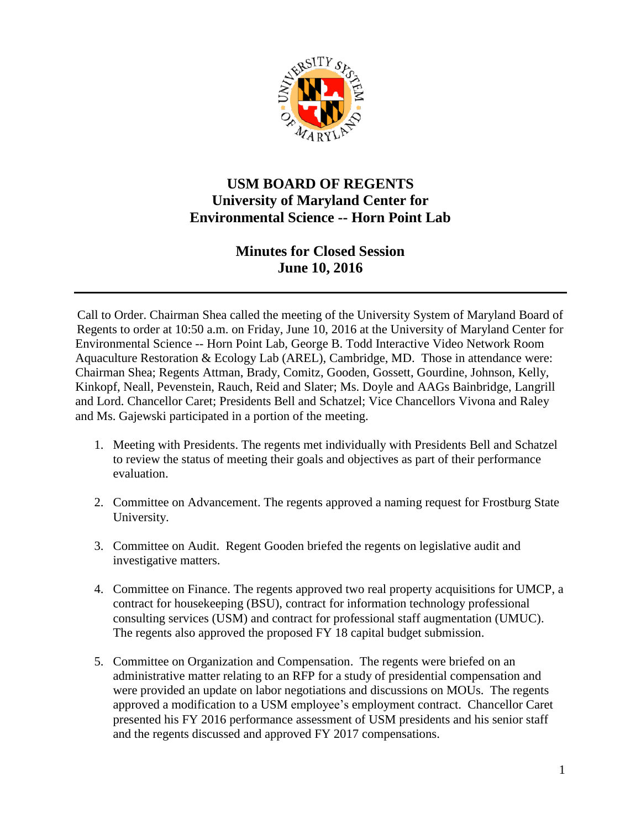

## **USM BOARD OF REGENTS University of Maryland Center for Environmental Science -- Horn Point Lab**

## **Minutes for Closed Session June 10, 2016**

Call to Order. Chairman Shea called the meeting of the University System of Maryland Board of Regents to order at 10:50 a.m. on Friday, June 10, 2016 at the University of Maryland Center for Environmental Science -- Horn Point Lab, George B. Todd Interactive Video Network Room Aquaculture Restoration & Ecology Lab (AREL), Cambridge, MD. Those in attendance were: Chairman Shea; Regents Attman, Brady, Comitz, Gooden, Gossett, Gourdine, Johnson, Kelly, Kinkopf, Neall, Pevenstein, Rauch, Reid and Slater; Ms. Doyle and AAGs Bainbridge, Langrill and Lord. Chancellor Caret; Presidents Bell and Schatzel; Vice Chancellors Vivona and Raley and Ms. Gajewski participated in a portion of the meeting.

- 1. Meeting with Presidents. The regents met individually with Presidents Bell and Schatzel to review the status of meeting their goals and objectives as part of their performance evaluation.
- 2. Committee on Advancement. The regents approved a naming request for Frostburg State University.
- 3. Committee on Audit. Regent Gooden briefed the regents on legislative audit and investigative matters.
- 4. Committee on Finance. The regents approved two real property acquisitions for UMCP, a contract for housekeeping (BSU), contract for information technology professional consulting services (USM) and contract for professional staff augmentation (UMUC). The regents also approved the proposed FY 18 capital budget submission.
- 5. Committee on Organization and Compensation. The regents were briefed on an administrative matter relating to an RFP for a study of presidential compensation and were provided an update on labor negotiations and discussions on MOUs. The regents approved a modification to a USM employee's employment contract. Chancellor Caret presented his FY 2016 performance assessment of USM presidents and his senior staff and the regents discussed and approved FY 2017 compensations.